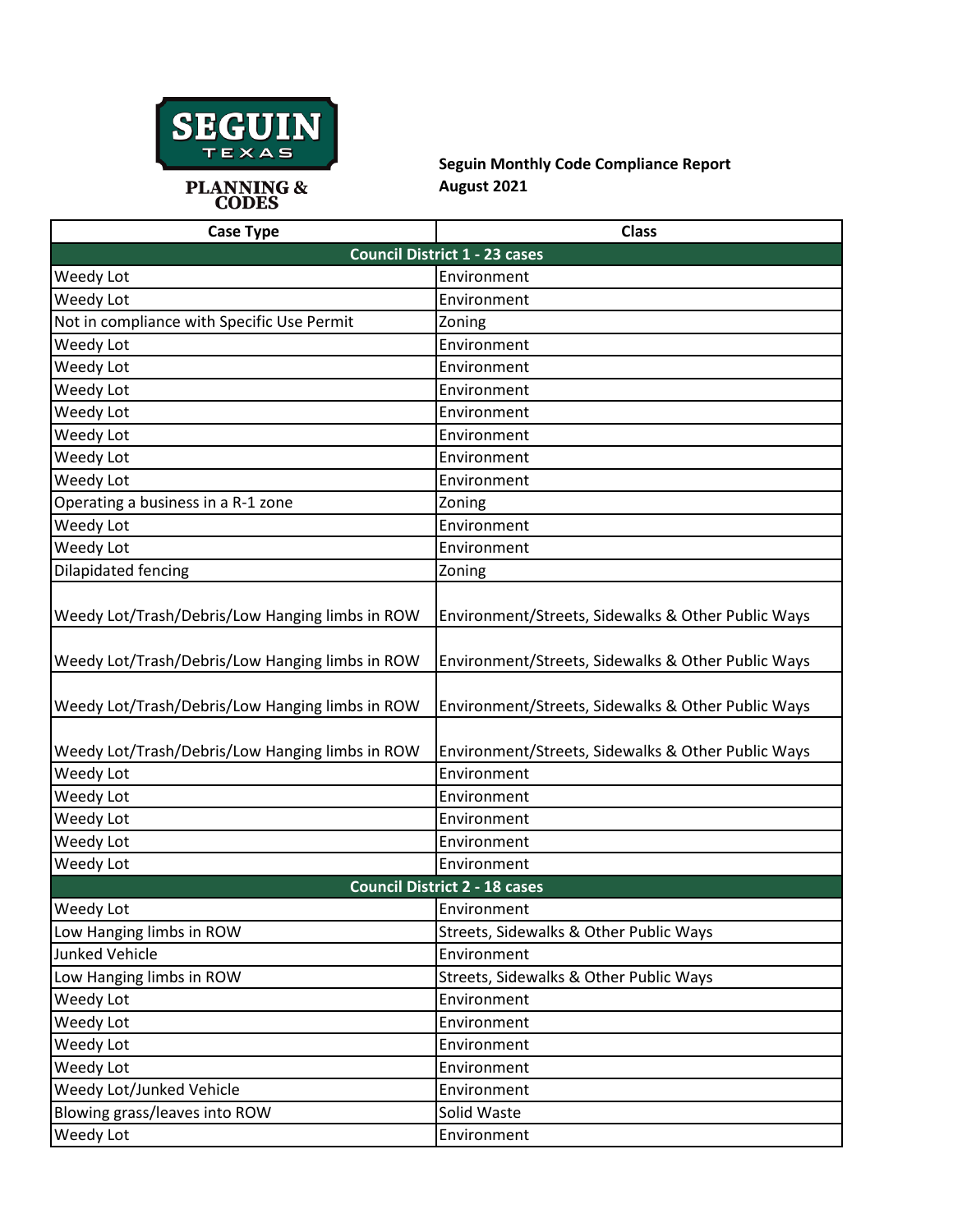

**Seguin Monthly Code Compliance Report August 2021**

| <b>Case Type</b>                                | <b>Class</b>                                       |  |
|-------------------------------------------------|----------------------------------------------------|--|
|                                                 | <b>Council District 1 - 23 cases</b>               |  |
| Weedy Lot                                       | Environment                                        |  |
| Weedy Lot                                       | Environment                                        |  |
| Not in compliance with Specific Use Permit      | Zoning                                             |  |
| Weedy Lot                                       | Environment                                        |  |
| Weedy Lot                                       | Environment                                        |  |
| Weedy Lot                                       | Environment                                        |  |
| Weedy Lot                                       | Environment                                        |  |
| Weedy Lot                                       | Environment                                        |  |
| Weedy Lot                                       | Environment                                        |  |
| Weedy Lot                                       | Environment                                        |  |
| Operating a business in a R-1 zone              | Zoning                                             |  |
| Weedy Lot                                       | Environment                                        |  |
| Weedy Lot                                       | Environment                                        |  |
| Dilapidated fencing                             | Zoning                                             |  |
|                                                 |                                                    |  |
| Weedy Lot/Trash/Debris/Low Hanging limbs in ROW | Environment/Streets, Sidewalks & Other Public Ways |  |
| Weedy Lot/Trash/Debris/Low Hanging limbs in ROW | Environment/Streets, Sidewalks & Other Public Ways |  |
| Weedy Lot/Trash/Debris/Low Hanging limbs in ROW | Environment/Streets, Sidewalks & Other Public Ways |  |
| Weedy Lot/Trash/Debris/Low Hanging limbs in ROW | Environment/Streets, Sidewalks & Other Public Ways |  |
| Weedy Lot                                       | Environment                                        |  |
| Weedy Lot                                       | Environment                                        |  |
| Weedy Lot                                       | Environment                                        |  |
| Weedy Lot                                       | Environment                                        |  |
| Weedy Lot                                       | Environment                                        |  |
| <b>Council District 2 - 18 cases</b>            |                                                    |  |
| Weedy Lot                                       | Environment                                        |  |
| Low Hanging limbs in ROW                        | Streets, Sidewalks & Other Public Ways             |  |
| <b>Junked Vehicle</b>                           | Environment                                        |  |
| Low Hanging limbs in ROW                        | Streets, Sidewalks & Other Public Ways             |  |
| Weedy Lot                                       | Environment                                        |  |
| Weedy Lot                                       | Environment                                        |  |
| Weedy Lot                                       | Environment                                        |  |
| Weedy Lot                                       | Environment                                        |  |
| Weedy Lot/Junked Vehicle                        | Environment                                        |  |
| Blowing grass/leaves into ROW                   | Solid Waste                                        |  |
| Weedy Lot                                       | Environment                                        |  |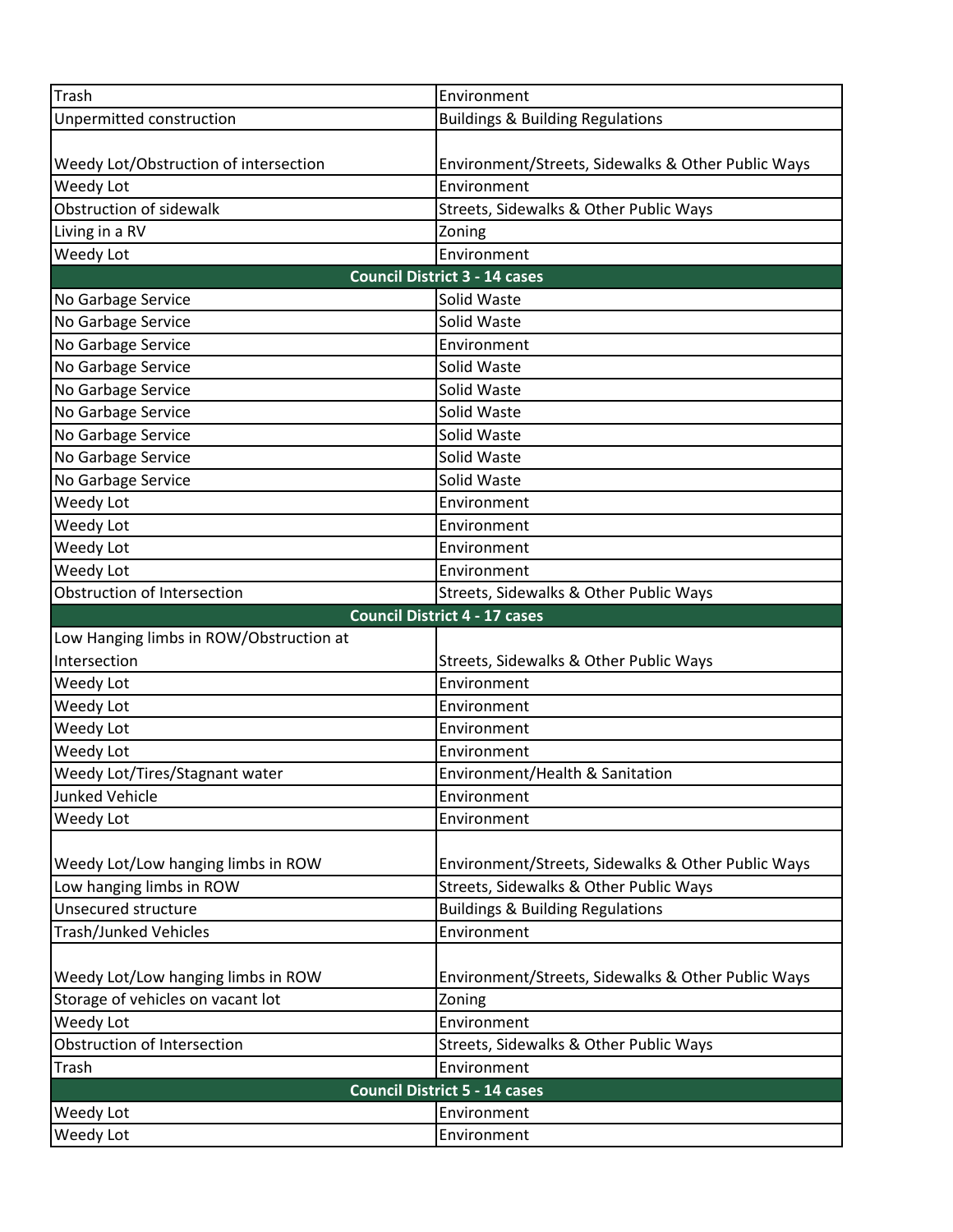| <b>Trash</b>                            | Environment                                        |  |
|-----------------------------------------|----------------------------------------------------|--|
| Unpermitted construction                | <b>Buildings &amp; Building Regulations</b>        |  |
|                                         |                                                    |  |
| Weedy Lot/Obstruction of intersection   | Environment/Streets, Sidewalks & Other Public Ways |  |
| Weedy Lot                               | Environment                                        |  |
| Obstruction of sidewalk                 | Streets, Sidewalks & Other Public Ways             |  |
| Living in a RV                          | Zoning                                             |  |
| <b>Weedy Lot</b>                        | Environment                                        |  |
|                                         | <b>Council District 3 - 14 cases</b>               |  |
| No Garbage Service                      | Solid Waste                                        |  |
| No Garbage Service                      | Solid Waste                                        |  |
| No Garbage Service                      | Environment                                        |  |
| No Garbage Service                      | Solid Waste                                        |  |
| No Garbage Service                      | Solid Waste                                        |  |
| No Garbage Service                      | Solid Waste                                        |  |
| No Garbage Service                      | Solid Waste                                        |  |
| No Garbage Service                      | Solid Waste                                        |  |
| No Garbage Service                      | Solid Waste                                        |  |
| Weedy Lot                               | Environment                                        |  |
| Weedy Lot                               | Environment                                        |  |
| Weedy Lot                               | Environment                                        |  |
| Weedy Lot                               | Environment                                        |  |
| Obstruction of Intersection             | Streets, Sidewalks & Other Public Ways             |  |
|                                         | <b>Council District 4 - 17 cases</b>               |  |
| Low Hanging limbs in ROW/Obstruction at |                                                    |  |
| Intersection                            | Streets, Sidewalks & Other Public Ways             |  |
| Weedy Lot                               | Environment                                        |  |
| Weedy Lot                               | Environment                                        |  |
| Weedy Lot                               | Environment                                        |  |
| Weedy Lot                               | Environment                                        |  |
| Weedy Lot/Tires/Stagnant water          | Environment/Health & Sanitation                    |  |
| <b>Junked Vehicle</b>                   | Environment                                        |  |
| Weedy Lot                               | Environment                                        |  |
|                                         |                                                    |  |
| Weedy Lot/Low hanging limbs in ROW      | Environment/Streets, Sidewalks & Other Public Ways |  |
| Low hanging limbs in ROW                | Streets, Sidewalks & Other Public Ways             |  |
| <b>Unsecured structure</b>              | <b>Buildings &amp; Building Regulations</b>        |  |
| <b>Trash/Junked Vehicles</b>            | Environment                                        |  |
|                                         |                                                    |  |
| Weedy Lot/Low hanging limbs in ROW      | Environment/Streets, Sidewalks & Other Public Ways |  |
| Storage of vehicles on vacant lot       | Zoning                                             |  |
| Weedy Lot                               | Environment                                        |  |
| Obstruction of Intersection             | Streets, Sidewalks & Other Public Ways             |  |
| Trash                                   | Environment                                        |  |
| <b>Council District 5 - 14 cases</b>    |                                                    |  |
|                                         |                                                    |  |
|                                         |                                                    |  |
| Weedy Lot<br>Weedy Lot                  | Environment<br>Environment                         |  |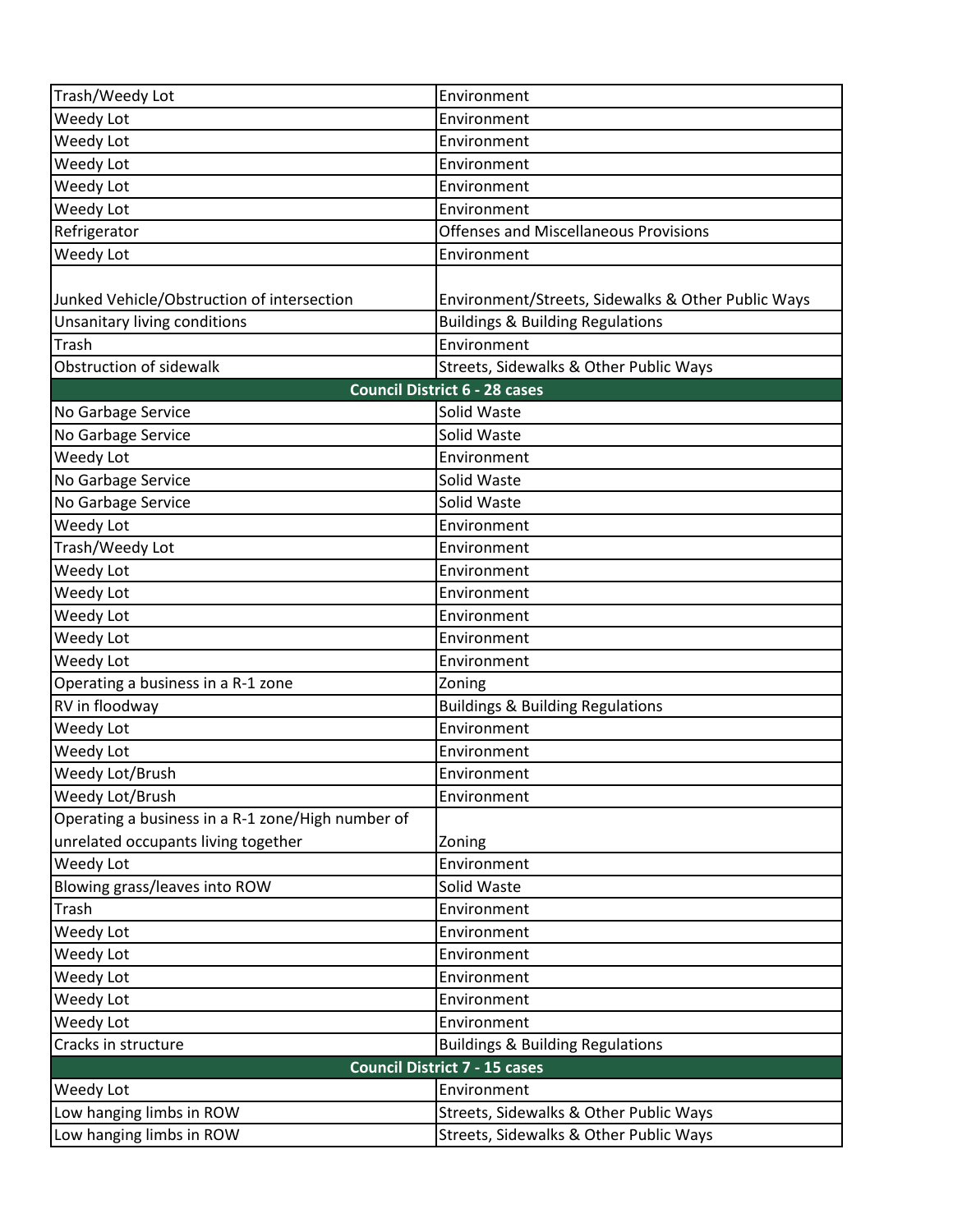| Trash/Weedy Lot                                   | Environment                                        |  |
|---------------------------------------------------|----------------------------------------------------|--|
| Weedy Lot                                         | Environment                                        |  |
| Weedy Lot                                         | Environment                                        |  |
| Weedy Lot                                         | Environment                                        |  |
| Weedy Lot                                         | Environment                                        |  |
| Weedy Lot                                         | Environment                                        |  |
| Refrigerator                                      | <b>Offenses and Miscellaneous Provisions</b>       |  |
| Weedy Lot                                         | Environment                                        |  |
|                                                   |                                                    |  |
| Junked Vehicle/Obstruction of intersection        | Environment/Streets, Sidewalks & Other Public Ways |  |
| Unsanitary living conditions                      | <b>Buildings &amp; Building Regulations</b>        |  |
| Trash                                             | Environment                                        |  |
| Obstruction of sidewalk                           | Streets, Sidewalks & Other Public Ways             |  |
|                                                   | <b>Council District 6 - 28 cases</b>               |  |
| No Garbage Service                                | Solid Waste                                        |  |
| No Garbage Service                                | Solid Waste                                        |  |
| Weedy Lot                                         | Environment                                        |  |
| No Garbage Service                                | Solid Waste                                        |  |
| No Garbage Service                                | Solid Waste                                        |  |
| Weedy Lot                                         | Environment                                        |  |
| Trash/Weedy Lot                                   | Environment                                        |  |
| Weedy Lot                                         | Environment                                        |  |
| Weedy Lot                                         | Environment                                        |  |
| Weedy Lot                                         | Environment                                        |  |
| Weedy Lot                                         | Environment                                        |  |
| Weedy Lot                                         | Environment                                        |  |
| Operating a business in a R-1 zone                | Zoning                                             |  |
| RV in floodway                                    | <b>Buildings &amp; Building Regulations</b>        |  |
| Weedy Lot                                         | Environment                                        |  |
| Weedy Lot                                         | Environment                                        |  |
| Weedy Lot/Brush                                   | Environment                                        |  |
| Weedy Lot/Brush                                   | Environment                                        |  |
| Operating a business in a R-1 zone/High number of |                                                    |  |
| unrelated occupants living together               | Zoning                                             |  |
| Weedy Lot                                         | Environment                                        |  |
| Blowing grass/leaves into ROW                     | Solid Waste                                        |  |
| Trash                                             | Environment                                        |  |
| Weedy Lot                                         | Environment                                        |  |
| Weedy Lot                                         | Environment                                        |  |
| Weedy Lot                                         | Environment                                        |  |
| Weedy Lot                                         | Environment                                        |  |
| Weedy Lot                                         | Environment                                        |  |
| Cracks in structure                               | <b>Buildings &amp; Building Regulations</b>        |  |
| <b>Council District 7 - 15 cases</b>              |                                                    |  |
| Weedy Lot                                         | Environment                                        |  |
| Low hanging limbs in ROW                          | Streets, Sidewalks & Other Public Ways             |  |
| Low hanging limbs in ROW                          | Streets, Sidewalks & Other Public Ways             |  |